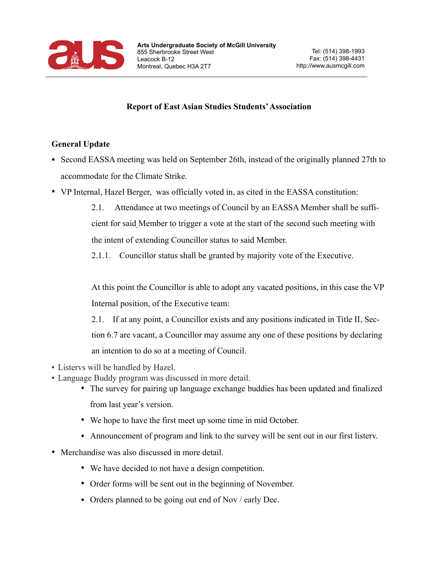

#### **Report of East Asian Studies Students' Association**

### **General Update**

- Second EASSA meeting was held on September 26th, instead of the originally planned 27th to accommodate for the Climate Strike.
- VP Internal, Hazel Berger, was officially voted in, as cited in the EASSA constitution:

2.1. Attendance at two meetings of Council by an EASSA Member shall be sufficient for said Member to trigger a vote at the start of the second such meeting with the intent of extending Councillor status to said Member.

2.1.1. Councillor status shall be granted by majority vote of the Executive.

At this point the Councillor is able to adopt any vacated positions, in this case the VP Internal position, of the Executive team:

2.1. If at any point, a Councillor exists and any positions indicated in Title II, Section 6.7 are vacant, a Councillor may assume any one of these positions by declaring an intention to do so at a meeting of Council.

- Listervs will be handled by Hazel.
- Language Buddy program was discussed in more detail.
	- The survey for pairing up language exchange buddies has been updated and finalized from last year's version.
	- We hope to have the first meet up some time in mid October.
	- Announcement of program and link to the survey will be sent out in our first listerv.
- Merchandise was also discussed in more detail.
	- We have decided to not have a design competition.
	- Order forms will be sent out in the beginning of November.
	- Orders planned to be going out end of Nov / early Dec.